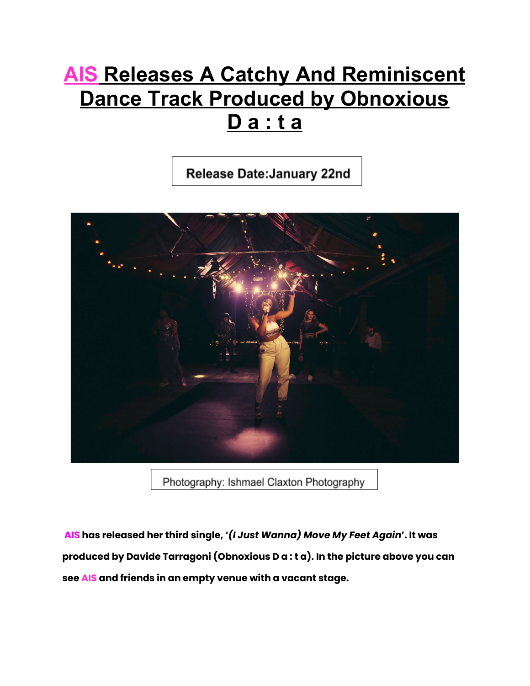## **AIS Releases A Catchy And Reminiscent Dance Track Produced by Obnoxious D a : t a**

Release Date: January 22nd



Photography: Ishmael Claxton Photography

**AIS has released her third single, '***(I Just Wanna) Move My Feet Again***'. It was produced by Davide Tarragoni (Obnoxious D a : t a). In the picture above you can see AIS and friends in an empty venue with a vacant stage.**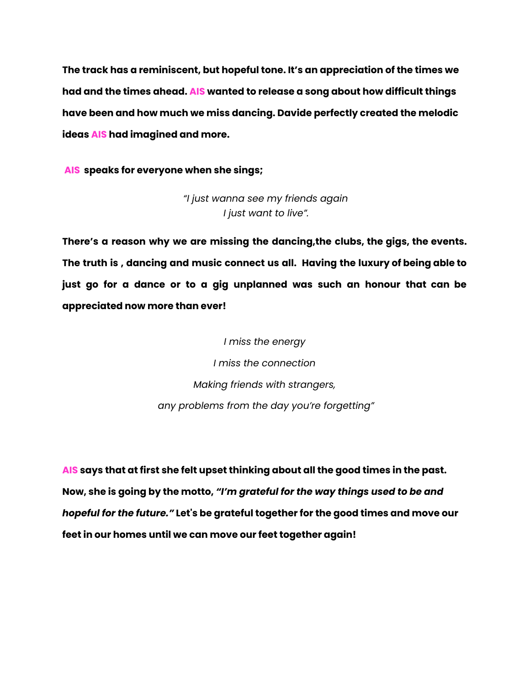**The track has a reminiscent, but hopeful tone. It's an appreciation of the times we had and the times ahead. AIS wanted to release a song about how difficult things have been and how much we miss dancing. Davide perfectly created the melodic ideas AIS had imagined and more.**

**AIS speaks for everyone when she sings;**

*"I just wanna see my friends again I just want to live".*

**There's a reason why we are missing the dancing,the clubs, the gigs, the events. The truth is , dancing and music connect us all. Having the luxury of being able to just go for a dance or to a gig unplanned was such an honour that can be appreciated now more than ever!**

> *I miss the energy I miss the connection Making friends with strangers, any problems from the day you're forgetting"*

**AIS says that at first she felt upset thinking about all the good times in the past. Now, she is going by the motto,** *"I'm grateful for the way things used to be and hopeful for the future."* **Let's be grateful together for the good times and move our feet in our homes until we can move our feet together again!**